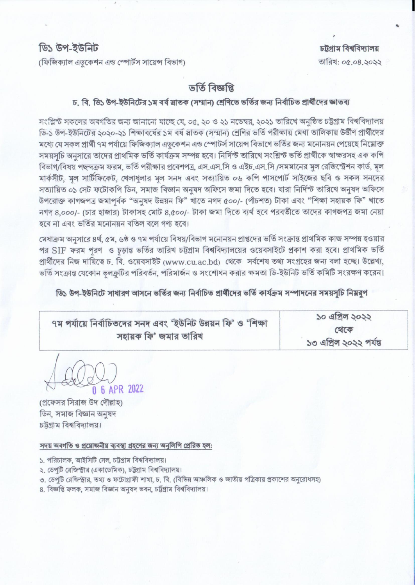(ফিজিক্যাল এডুকেশন এন্ড স্পোর্টস সায়েন্স বিভাগ)

চট্টগ্ৰাম বিশ্ববিদ্যালয় তারিখ: ০৫.০৪.২০২২

## ভৰ্তি বিজ্ঞপ্তি

## চ. বি. ডি১ উপ-ইউনিটের ১ম বর্ষ স্লাতক (সম্মান) শ্রেণিতে ভর্তির জন্য নির্বাচিত প্রার্থীদের জ্ঞাতব্য

সংশ্লিন্ট সকলের অবগতির জন্য জানানো যাচ্ছে যে, ০৫, ২০ ও ২১ নভেম্বর, ২০২১ তারিখে অনুষ্ঠিত চট্টগ্রাম বিশ্ববিদ্যালয় ডি-১ উপ-ইউনিটের ২০২০-২১ শিক্ষাবর্ষের ১ম বর্ষ স্লাতক (সম্মান) শ্রেণির ভর্তি পরীক্ষায় মেধা তালিকায় উর্তীণ প্রার্থীদের মধ্যে যে সকল প্ৰাৰ্থী ৭ম পৰ্যায়ে ফিজিক্যাল এডকেশন এন্ড স্পোটৰ্স সায়েন্স বিভাগে ভৰ্তির জন্য মনোনয়ন পেয়েছে নিম্নোক্ত সময়সচি অনসারে তাদের প্রাথমিক ভর্তি কার্যক্রম সম্পন্ন হবে। নির্দিস্ট তারিখে সংশ্লিস্ট ভর্তি প্রার্থীকে স্বাক্ষরসহ এক কপি বিভাগ/বিষয় পছন্দক্রম ফরম, ভর্তি পরীক্ষার প্রবেশপত্র, এস.এস.সি ও এইচ.এস.সি /সমমানের মূল রেজিস্ট্রেশন কার্ড, মূল মার্কসীট, মল সাটিফিকেট, খেলাধলার মল সনদ এবং সত্যায়িত ০৬ কপি পাসপোর্ট সাইজের ছবি ও সকল সনদের সত্যায়িত ০১ সেট ফটোকপি ডিন, সমাজ বিজ্ঞান অনুষদ অফিসে জমা দিতে হবে। যারা নির্দিস্ট তারিখে অনুষদ অফিসে উপরোক্ত কাগজপত্র জমাপর্বক "অনুষদ উন্নয়ন ফি" খাতে নগদ ৫০০/- (পাঁচশত) টাকা এবং "শিক্ষা সহায়ক ফি" খাতে নগদ ৪,০০০/- (চার হাজার) টাকাসহ মোট ৪,৫০০/- টাকা জমা দিতে ব্যর্থ হবে পরবর্তীতে তাদের কাগজপত্র জমা নেয়া হবে না এবং ভর্তির মনোনয়ন বতিল বলে গণ্য হবে।

মেধাক্রম অনুসারে ৪র্থ, ৫ম, ৬ষ্ঠ ও ৭ম পর্যায়ে বিষয়/বিভাগ মনোনয়ন প্রাপ্তদের ভর্তি সংক্রান্ত প্রাথমিক কাজ সম্পন্ন হওয়ার পর SIF ফরম পরণ ও চড়ান্ত ভর্তির তারিখ চট্টগ্রাম বিশ্ববিদ্যালয়ের ওয়েবসাইটে প্রকাশ করা হবে। প্রাথমিক ভর্তি প্রার্থীদের নিজ দায়িত্বে চ. বি. ওয়েবসাইট (www.cu.ac.bd) থেকে সর্বশেষ তথ্য সংগ্রহের জন্য বলা হচ্ছে। উল্লেখ্য, ভর্তি সংক্রান্ত যেকোন ভুলক্রুটির পরিবর্তন, পরিমার্জন ও সংশোধন করার ক্ষমতা ডি-ইউনিট ভর্তি কমিটি সংরক্ষণ করেন।

ডি১ উপ-ইউনিটে সাধারণ আসনে ভর্তির জন্য নির্বাচিত প্রার্থীদের ভর্তি কার্যক্রম সম্পাদনের সময়সূচি নিম্নরূপ

| ৭ম পর্যায়ে নির্বাচিতদের সনদ এবং 'ইউনিট উন্নয়ন ফি' ও 'শিক্ষা |                       |  |  |
|---------------------------------------------------------------|-----------------------|--|--|
|                                                               | সহায়ক ফি' জমার তারিখ |  |  |

১০ এপ্রিল ১০১১ থেকে ১৩ এপ্রিল ২০২২ পর্যন্ত

0 6 APR 2022

(প্রফেসর সিরাজ উদ দৌল্লাহ) ডিন, সমাজ বিজ্ঞান অনুষদ চট্টগাম বিশ্ববিদ্যালয়।

## সদয় অবগতি ও প্ৰয়োজনীয় ব্যবস্থা গ্ৰহণের জন্য অনলিপি প্ৰেরিত হল:

- ১. পরিচালক, আইসিটি সেল, চট্টগ্রাম বিশ্ববিদ্যালয়।
- ২. ডেপটি রেজিস্ট্রার (একাডেমিক), চট্টগ্রাম বিশ্ববিদ্যালয়।
- ৩. ডেপুটি রেজিস্ট্রার, তথ্য ও ফটোগ্রাফী শাখা, চ. বি. (বিভিন্ন আঞ্চলিক ও জাতীয় পত্রিকায় প্রকাশের অনুরোধসহ)
- ৪, বিজ্ঞপ্তি ফলক, সমাজ বিজ্ঞান অনুষদ ভবন, চট্টগ্ৰাম বিশ্ববিদ্যালয়।